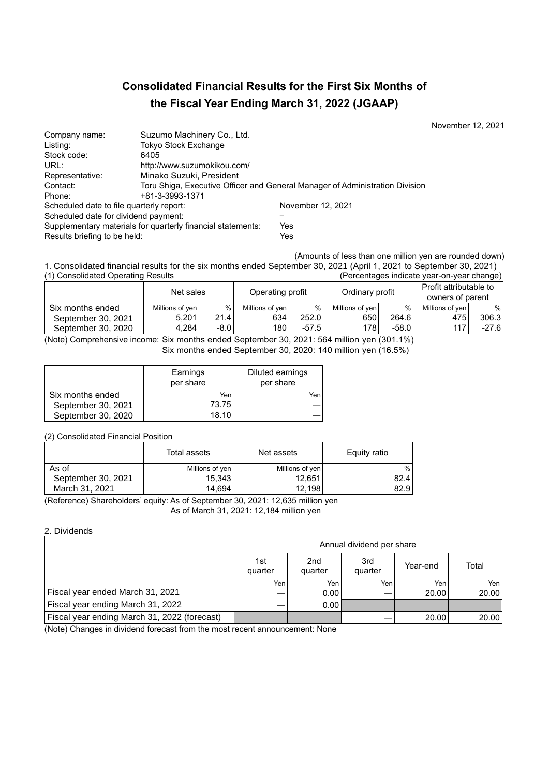# **Consolidated Financial Results for the First Six Months of the Fiscal Year Ending March 31, 2022 (JGAAP)**

November 12, 2021

| Company name:                            | Suzumo Machinery Co., Ltd.                                  |                                                                              |
|------------------------------------------|-------------------------------------------------------------|------------------------------------------------------------------------------|
| Listing:                                 | <b>Tokyo Stock Exchange</b>                                 |                                                                              |
| Stock code:                              | 6405                                                        |                                                                              |
| URL:                                     | http://www.suzumokikou.com/                                 |                                                                              |
| Representative:                          | Minako Suzuki, President                                    |                                                                              |
| Contact:                                 |                                                             | Toru Shiga, Executive Officer and General Manager of Administration Division |
| Phone:                                   | +81-3-3993-1371                                             |                                                                              |
| Scheduled date to file quarterly report: |                                                             | November 12, 2021                                                            |
| Scheduled date for dividend payment:     |                                                             |                                                                              |
|                                          | Supplementary materials for quarterly financial statements: | Yes                                                                          |
| Results briefing to be held:             |                                                             | Yes                                                                          |

(Amounts of less than one million yen are rounded down)

1. Consolidated financial results for the six months ended September 30, 2021 (April 1, 2021 to September 30, 2021) (Percentages indicate year-on-year change)

|                    | Net sales       |        | Operating profit |         |                 |         | Ordinary profit |         | Profit attributable to<br>owners of parent |  |
|--------------------|-----------------|--------|------------------|---------|-----------------|---------|-----------------|---------|--------------------------------------------|--|
| Six months ended   | Millions of yen | %      | Millions of ven  | %       | Millions of ven | $\%$    | Millions of ven | %       |                                            |  |
| September 30, 2021 | 5.201           | 21.4   | 634              | 252.0   | 650             | 264.6   | 475             | 306.3   |                                            |  |
| September 30, 2020 | 4.284           | $-8.0$ | 180              | $-57.5$ | 178             | $-58.0$ | 117             | $-27.6$ |                                            |  |

(Note) Comprehensive income: Six months ended September 30, 2021: 564 million yen (301.1%) Six months ended September 30, 2020: 140 million yen (16.5%)

|                    | Earnings<br>per share | Diluted earnings<br>per share |
|--------------------|-----------------------|-------------------------------|
| Six months ended   | Yen                   | Yen                           |
| September 30, 2021 | 73.75                 |                               |
| September 30, 2020 | 18.10                 |                               |

(2) Consolidated Financial Position

|                    | Total assets    | Net assets      | Equity ratio |
|--------------------|-----------------|-----------------|--------------|
| As of              | Millions of yen | Millions of yen | $\%$         |
| September 30, 2021 | 15,343          | 12.651          | 82.4         |
| March 31, 2021     | 14,694          | 12.198          | 82.9         |

(Reference) Shareholders' equity: As of September 30, 2021: 12,635 million yen As of March 31, 2021: 12,184 million yen

## 2. Dividends

|                                              | Annual dividend per share |                            |                |          |       |  |
|----------------------------------------------|---------------------------|----------------------------|----------------|----------|-------|--|
|                                              | 1st<br>quarter            | 2 <sub>nd</sub><br>quarter | 3rd<br>quarter | Year-end | Total |  |
|                                              | Yen                       | Yen                        | Yen.           | Yen      | Yen   |  |
| Fiscal year ended March 31, 2021             |                           | 0.00                       |                | 20.00    | 20.00 |  |
| Fiscal year ending March 31, 2022            | –                         | 0.001                      |                |          |       |  |
| Fiscal year ending March 31, 2022 (forecast) |                           |                            |                | 20.00    | 20.00 |  |

(Note) Changes in dividend forecast from the most recent announcement: None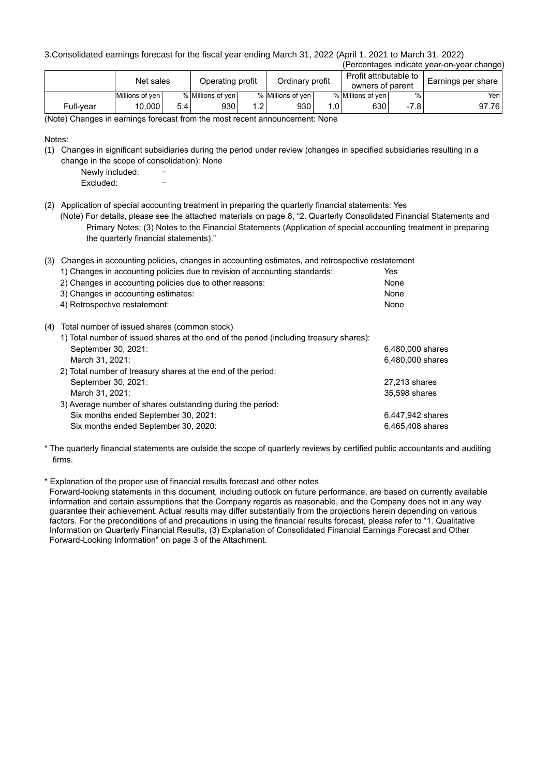3.Consolidated earnings forecast for the fiscal year ending March 31, 2022 (April 1, 2021 to March 31, 2022)

| (Percentages indicate year-on-year change) |                 |       |                   |               |                   |                        |                   |               |                    |
|--------------------------------------------|-----------------|-------|-------------------|---------------|-------------------|------------------------|-------------------|---------------|--------------------|
|                                            |                 |       |                   |               |                   | Profit attributable to |                   |               |                    |
|                                            | Net sales       |       | Operating profit  |               | Ordinary profit   |                        | owners of parent  |               | Earnings per share |
|                                            | Millions of yen |       | % Millions of yen |               | % Millions of yen |                        | % Millions of ven | $\frac{0}{0}$ | Yen                |
| Full-vear                                  | 10.000          | 5.4 I | 930               | $1.2^{\circ}$ | 930               | .OI                    | 630               | $-7.8$        | 97.76              |

(Note) Changes in earnings forecast from the most recent announcement: None

Notes:

- (1) Changes in significant subsidiaries during the period under review (changes in specified subsidiaries resulting in a change in the scope of consolidation): None
	- Newly included:
	- Excluded:
- (2) Application of special accounting treatment in preparing the quarterly financial statements: Yes
	- (Note) For details, please see the attached materials on page 8, "2. Quarterly Consolidated Financial Statements and Primary Notes; (3) Notes to the Financial Statements (Application of special accounting treatment in preparing the quarterly financial statements)."

| (3) |                                                                                        | Changes in accounting policies, changes in accounting estimates, and retrospective restatement |  |  |  |  |  |
|-----|----------------------------------------------------------------------------------------|------------------------------------------------------------------------------------------------|--|--|--|--|--|
|     | 1) Changes in accounting policies due to revision of accounting standards:             | Yes                                                                                            |  |  |  |  |  |
|     | 2) Changes in accounting policies due to other reasons:                                | None                                                                                           |  |  |  |  |  |
|     | 3) Changes in accounting estimates:                                                    | None                                                                                           |  |  |  |  |  |
|     | 4) Retrospective restatement:                                                          | None                                                                                           |  |  |  |  |  |
| (4) | Total number of issued shares (common stock)                                           |                                                                                                |  |  |  |  |  |
|     | 1) Total number of issued shares at the end of the period (including treasury shares): |                                                                                                |  |  |  |  |  |
|     | September 30, 2021:                                                                    | 6,480,000 shares                                                                               |  |  |  |  |  |
|     | March 31, 2021:                                                                        | 6,480,000 shares                                                                               |  |  |  |  |  |
|     | 2) Total number of treasury shares at the end of the period:                           |                                                                                                |  |  |  |  |  |
|     | September 30, 2021:                                                                    | 27,213 shares                                                                                  |  |  |  |  |  |
|     | March 31, 2021:                                                                        | 35,598 shares                                                                                  |  |  |  |  |  |
|     | 3) Average number of shares outstanding during the period:                             |                                                                                                |  |  |  |  |  |
|     | Six months ended September 30, 2021:                                                   | 6,447,942 shares                                                                               |  |  |  |  |  |
|     | Six months ended September 30, 2020:                                                   | 6,465,408 shares                                                                               |  |  |  |  |  |

<sup>\*</sup> The quarterly financial statements are outside the scope of quarterly reviews by certified public accountants and auditing firms.

\* Explanation of the proper use of financial results forecast and other notes

Forward-looking statements in this document, including outlook on future performance, are based on currently available information and certain assumptions that the Company regards as reasonable, and the Company does not in any way guarantee their achievement. Actual results may differ substantially from the projections herein depending on various factors. For the preconditions of and precautions in using the financial results forecast, please refer to "1. Qualitative Information on Quarterly Financial Results, (3) Explanation of Consolidated Financial Earnings Forecast and Other Forward-Looking Information" on page 3 of the Attachment.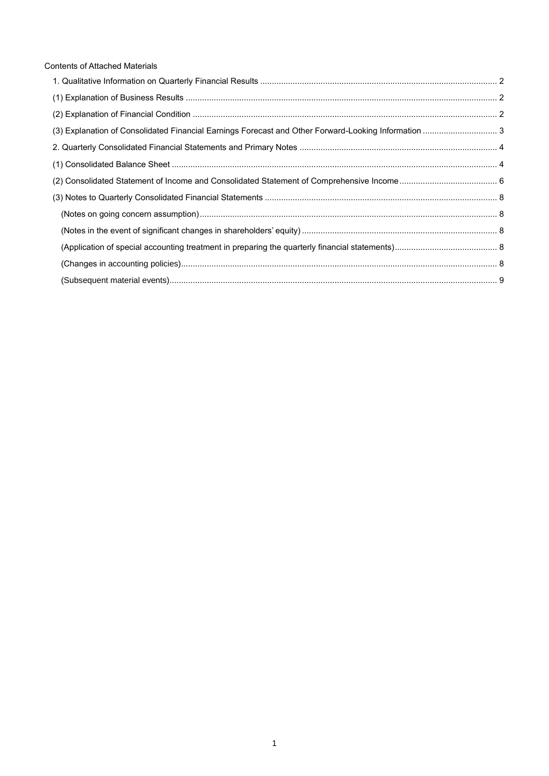| <b>Contents of Attached Materials</b>                                                                |  |
|------------------------------------------------------------------------------------------------------|--|
|                                                                                                      |  |
|                                                                                                      |  |
|                                                                                                      |  |
| (3) Explanation of Consolidated Financial Earnings Forecast and Other Forward-Looking Information  3 |  |
|                                                                                                      |  |
|                                                                                                      |  |
|                                                                                                      |  |
|                                                                                                      |  |
|                                                                                                      |  |
|                                                                                                      |  |
|                                                                                                      |  |
|                                                                                                      |  |
|                                                                                                      |  |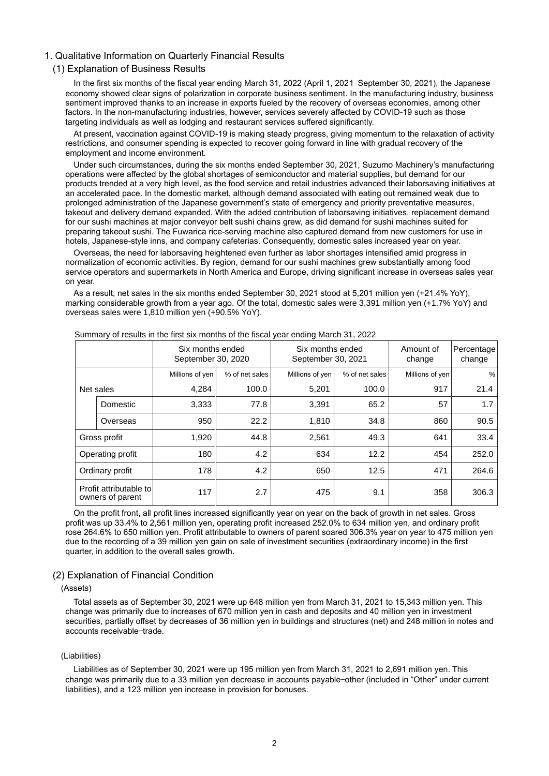#### <span id="page-3-0"></span>1. Qualitative Information on Quarterly Financial Results

#### <span id="page-3-1"></span>(1) Explanation of Business Results

In the first six months of the fiscal year ending March 31, 2022 (April 1, 2021–September 30, 2021), the Japanese economy showed clear signs of polarization in corporate business sentiment. In the manufacturing industry, business sentiment improved thanks to an increase in exports fueled by the recovery of overseas economies, among other factors. In the non-manufacturing industries, however, services severely affected by COVID-19 such as those targeting individuals as well as lodging and restaurant services suffered significantly.

At present, vaccination against COVID-19 is making steady progress, giving momentum to the relaxation of activity restrictions, and consumer spending is expected to recover going forward in line with gradual recovery of the employment and income environment.

Under such circumstances, during the six months ended September 30, 2021, Suzumo Machinery's manufacturing operations were affected by the global shortages of semiconductor and material supplies, but demand for our products trended at a very high level, as the food service and retail industries advanced their laborsaving initiatives at an accelerated pace. In the domestic market, although demand associated with eating out remained weak due to prolonged administration of the Japanese government's state of emergency and priority preventative measures, takeout and delivery demand expanded. With the added contribution of laborsaving initiatives, replacement demand for our sushi machines at major conveyor belt sushi chains grew, as did demand for sushi machines suited for preparing takeout sushi. The Fuwarica rice-serving machine also captured demand from new customers for use in hotels, Japanese-style inns, and company cafeterias. Consequently, domestic sales increased year on year.

Overseas, the need for laborsaving heightened even further as labor shortages intensified amid progress in normalization of economic activities. By region, demand for our sushi machines grew substantially among food service operators and supermarkets in North America and Europe, driving significant increase in overseas sales year on year.

As a result, net sales in the six months ended September 30, 2021 stood at 5,201 million yen (+21.4% YoY), marking considerable growth from a year ago. Of the total, domestic sales were 3,391 million yen (+1.7% YoY) and overseas sales were 1,810 million yen (+90.5% YoY).

|                                            |              |                 | Six months ended<br>September 30, 2020 |                 | Six months ended<br>September 30, 2021 | Amount of<br>change | Percentage<br>change |
|--------------------------------------------|--------------|-----------------|----------------------------------------|-----------------|----------------------------------------|---------------------|----------------------|
|                                            |              | Millions of yen | % of net sales                         | Millions of yen | % of net sales                         | Millions of yen     | %                    |
|                                            | Net sales    | 4,284           | 100.0                                  | 5,201           | 100.0                                  | 917                 | 21.4                 |
|                                            | Domestic     | 3,333           | 77.8                                   | 3,391           | 65.2                                   | 57                  | 1.7                  |
|                                            | Overseas     | 950             | 22.2                                   | 1,810           | 34.8                                   | 860                 | 90.5                 |
|                                            | Gross profit | 1,920           | 44.8                                   | 2,561           | 49.3                                   | 641                 | 33.4                 |
| Operating profit                           |              | 180             | 4.2                                    | 634             | 12.2                                   | 454                 | 252.0                |
| Ordinary profit                            |              | 178             | 4.2                                    | 650             | 12.5                                   | 471                 | 264.6                |
| Profit attributable to<br>owners of parent |              | 117             | 2.7                                    | 475             | 9.1                                    | 358                 | 306.3                |

Summary of results in the first six months of the fiscal year ending March 31, 2022

On the profit front, all profit lines increased significantly year on year on the back of growth in net sales. Gross profit was up 33.4% to 2,561 million yen, operating profit increased 252.0% to 634 million yen, and ordinary profit rose 264.6% to 650 million yen. Profit attributable to owners of parent soared 306.3% year on year to 475 million yen due to the recording of a 39 million yen gain on sale of investment securities (extraordinary income) in the first quarter, in addition to the overall sales growth.

#### <span id="page-3-2"></span>(2) Explanation of Financial Condition

#### (Assets)

Total assets as of September 30, 2021 were up 648 million yen from March 31, 2021 to 15,343 million yen. This change was primarily due to increases of 670 million yen in cash and deposits and 40 million yen in investment securities, partially offset by decreases of 36 million yen in buildings and structures (net) and 248 million in notes and accounts receivable—trade.

#### (Liabilities)

Liabilities as of September 30, 2021 were up 195 million yen from March 31, 2021 to 2,691 million yen. This change was primarily due to a 33 million yen decrease in accounts payable—other (included in "Other" under current liabilities), and a 123 million yen increase in provision for bonuses.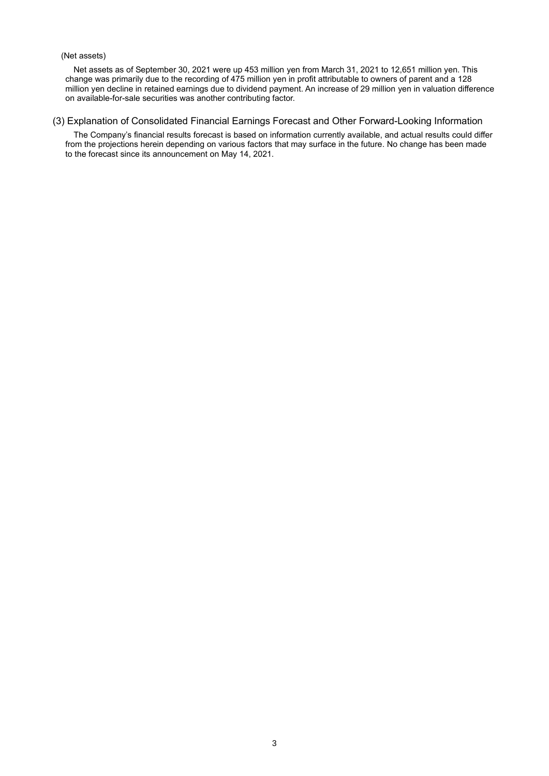## (Net assets)

Net assets as of September 30, 2021 were up 453 million yen from March 31, 2021 to 12,651 million yen. This change was primarily due to the recording of 475 million yen in profit attributable to owners of parent and a 128 million yen decline in retained earnings due to dividend payment. An increase of 29 million yen in valuation difference on available-for-sale securities was another contributing factor.

## <span id="page-4-0"></span>(3) Explanation of Consolidated Financial Earnings Forecast and Other Forward-Looking Information

The Company's financial results forecast is based on information currently available, and actual results could differ from the projections herein depending on various factors that may surface in the future. No change has been made to the forecast since its announcement on May 14, 2021.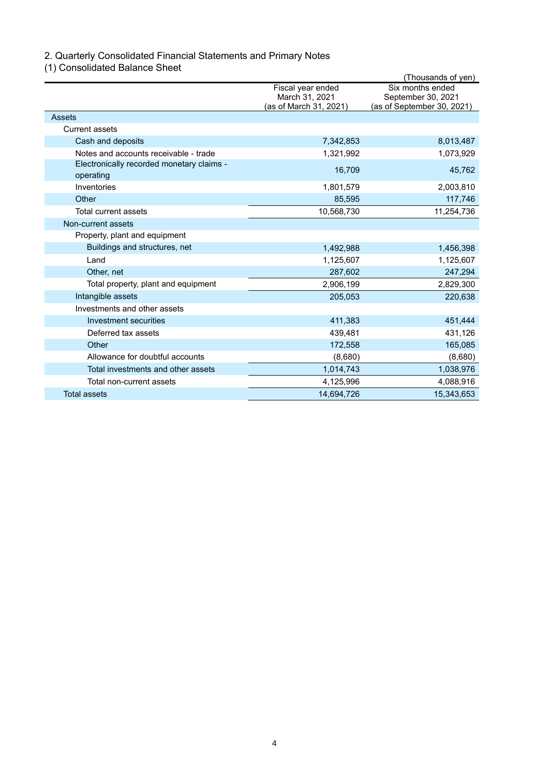## <span id="page-5-0"></span>2. Quarterly Consolidated Financial Statements and Primary Notes

<span id="page-5-1"></span>(1) Consolidated Balance Sheet

|                                                        |                                     | (Thousands of yen)                     |
|--------------------------------------------------------|-------------------------------------|----------------------------------------|
|                                                        | Fiscal year ended<br>March 31, 2021 | Six months ended<br>September 30, 2021 |
|                                                        | (as of March 31, 2021)              | (as of September 30, 2021)             |
| Assets                                                 |                                     |                                        |
| <b>Current assets</b>                                  |                                     |                                        |
| Cash and deposits                                      | 7,342,853                           | 8,013,487                              |
| Notes and accounts receivable - trade                  | 1,321,992                           | 1,073,929                              |
| Electronically recorded monetary claims -<br>operating | 16,709                              | 45,762                                 |
| Inventories                                            | 1,801,579                           | 2,003,810                              |
| Other                                                  | 85,595                              | 117,746                                |
| <b>Total current assets</b>                            | 10,568,730                          | 11,254,736                             |
| Non-current assets                                     |                                     |                                        |
| Property, plant and equipment                          |                                     |                                        |
| Buildings and structures, net                          | 1,492,988                           | 1,456,398                              |
| Land                                                   | 1,125,607                           | 1,125,607                              |
| Other, net                                             | 287,602                             | 247,294                                |
| Total property, plant and equipment                    | 2,906,199                           | 2,829,300                              |
| Intangible assets                                      | 205,053                             | 220,638                                |
| Investments and other assets                           |                                     |                                        |
| Investment securities                                  | 411,383                             | 451,444                                |
| Deferred tax assets                                    | 439,481                             | 431,126                                |
| Other                                                  | 172,558                             | 165,085                                |
| Allowance for doubtful accounts                        | (8,680)                             | (8,680)                                |
| Total investments and other assets                     | 1,014,743                           | 1,038,976                              |
| Total non-current assets                               | 4,125,996                           | 4,088,916                              |
| <b>Total assets</b>                                    | 14,694,726                          | 15,343,653                             |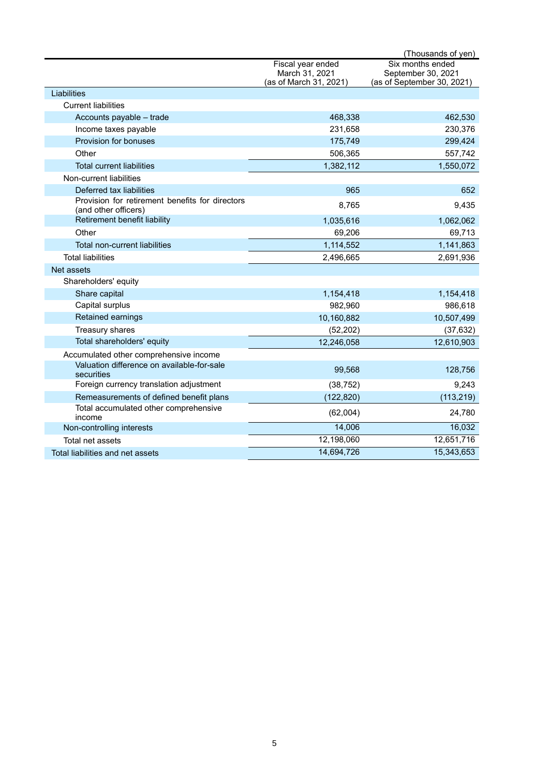|                                                                         |                        | (Thousands of yen)         |
|-------------------------------------------------------------------------|------------------------|----------------------------|
|                                                                         | Fiscal year ended      | Six months ended           |
|                                                                         | March 31, 2021         | September 30, 2021         |
|                                                                         | (as of March 31, 2021) | (as of September 30, 2021) |
| Liabilities                                                             |                        |                            |
| <b>Current liabilities</b>                                              |                        |                            |
| Accounts payable - trade                                                | 468,338                | 462,530                    |
| Income taxes payable                                                    | 231,658                | 230,376                    |
| Provision for bonuses                                                   | 175,749                | 299,424                    |
| Other                                                                   | 506,365                | 557,742                    |
| <b>Total current liabilities</b>                                        | 1,382,112              | 1,550,072                  |
| Non-current liabilities                                                 |                        |                            |
| Deferred tax liabilities                                                | 965                    | 652                        |
| Provision for retirement benefits for directors<br>(and other officers) | 8,765                  | 9,435                      |
| Retirement benefit liability                                            | 1,035,616              | 1,062,062                  |
| Other                                                                   | 69,206                 | 69,713                     |
| Total non-current liabilities                                           | 1,114,552              | 1,141,863                  |
| <b>Total liabilities</b>                                                | 2,496,665              | 2,691,936                  |
| Net assets                                                              |                        |                            |
| Shareholders' equity                                                    |                        |                            |
| Share capital                                                           | 1,154,418              | 1,154,418                  |
| Capital surplus                                                         | 982,960                | 986,618                    |
| Retained earnings                                                       | 10,160,882             | 10,507,499                 |
| Treasury shares                                                         | (52, 202)              | (37, 632)                  |
| Total shareholders' equity                                              | 12,246,058             | 12,610,903                 |
| Accumulated other comprehensive income                                  |                        |                            |
| Valuation difference on available-for-sale<br>securities                | 99,568                 | 128,756                    |
| Foreign currency translation adjustment                                 | (38, 752)              | 9,243                      |
| Remeasurements of defined benefit plans                                 | (122, 820)             | (113, 219)                 |
| Total accumulated other comprehensive<br>income                         | (62,004)               | 24,780                     |
| Non-controlling interests                                               | 14,006                 | 16,032                     |
| Total net assets                                                        | 12,198,060             | 12,651,716                 |
| Total liabilities and net assets                                        | 14,694,726             | 15,343,653                 |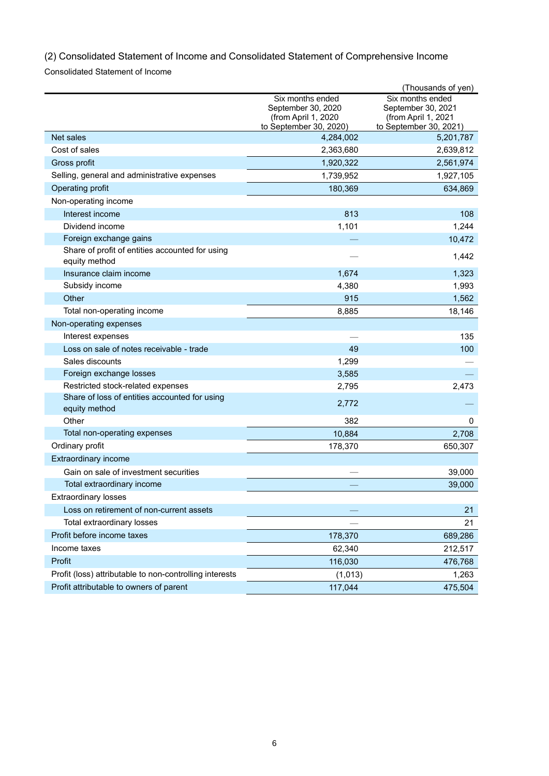<span id="page-7-0"></span>(2) Consolidated Statement of Income and Consolidated Statement of Comprehensive Income

Consolidated Statement of Income

|                                                                  |                                                                                          | (Thousands of yen)                                                                      |
|------------------------------------------------------------------|------------------------------------------------------------------------------------------|-----------------------------------------------------------------------------------------|
|                                                                  | Six months ended<br>September 30, 2020<br>(from April 1, 2020)<br>to September 30, 2020) | Six months ended<br>September 30, 2021<br>(from April 1, 2021<br>to September 30, 2021) |
| Net sales                                                        | 4,284,002                                                                                | 5,201,787                                                                               |
| Cost of sales                                                    | 2,363,680                                                                                | 2,639,812                                                                               |
| Gross profit                                                     | 1,920,322                                                                                | 2,561,974                                                                               |
| Selling, general and administrative expenses                     | 1,739,952                                                                                | 1,927,105                                                                               |
| Operating profit                                                 | 180,369                                                                                  | 634,869                                                                                 |
| Non-operating income                                             |                                                                                          |                                                                                         |
| Interest income                                                  | 813                                                                                      | 108                                                                                     |
| Dividend income                                                  | 1,101                                                                                    | 1,244                                                                                   |
| Foreign exchange gains                                           |                                                                                          | 10,472                                                                                  |
| Share of profit of entities accounted for using<br>equity method |                                                                                          | 1,442                                                                                   |
| Insurance claim income                                           | 1,674                                                                                    | 1,323                                                                                   |
| Subsidy income                                                   | 4,380                                                                                    | 1,993                                                                                   |
| Other                                                            | 915                                                                                      | 1,562                                                                                   |
| Total non-operating income                                       | 8,885                                                                                    | 18,146                                                                                  |
| Non-operating expenses                                           |                                                                                          |                                                                                         |
| Interest expenses                                                |                                                                                          | 135                                                                                     |
| Loss on sale of notes receivable - trade                         | 49                                                                                       | 100                                                                                     |
| Sales discounts                                                  | 1,299                                                                                    |                                                                                         |
| Foreign exchange losses                                          | 3,585                                                                                    |                                                                                         |
| Restricted stock-related expenses                                | 2,795                                                                                    | 2,473                                                                                   |
| Share of loss of entities accounted for using<br>equity method   | 2,772                                                                                    |                                                                                         |
| Other                                                            | 382                                                                                      | $\mathbf 0$                                                                             |
| Total non-operating expenses                                     | 10,884                                                                                   | 2,708                                                                                   |
| Ordinary profit                                                  | 178,370                                                                                  | 650,307                                                                                 |
| <b>Extraordinary income</b>                                      |                                                                                          |                                                                                         |
| Gain on sale of investment securities                            |                                                                                          | 39,000                                                                                  |
| Total extraordinary income                                       |                                                                                          | 39,000                                                                                  |
| <b>Extraordinary losses</b>                                      |                                                                                          |                                                                                         |
| Loss on retirement of non-current assets                         |                                                                                          | 21                                                                                      |
| Total extraordinary losses                                       |                                                                                          | 21                                                                                      |
| Profit before income taxes                                       | 178,370                                                                                  | 689,286                                                                                 |
| Income taxes                                                     | 62,340                                                                                   | 212,517                                                                                 |
| Profit                                                           | 116,030                                                                                  | 476,768                                                                                 |
| Profit (loss) attributable to non-controlling interests          | (1,013)                                                                                  | 1,263                                                                                   |
| Profit attributable to owners of parent                          | 117,044                                                                                  | 475,504                                                                                 |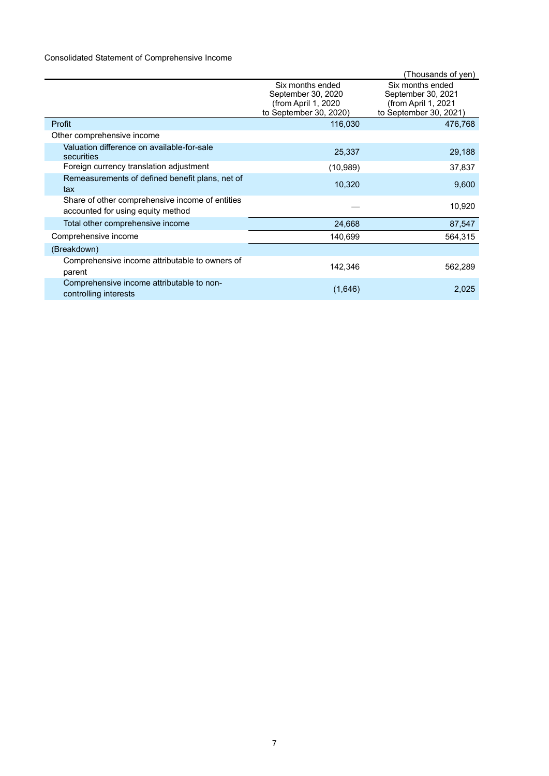# Consolidated Statement of Comprehensive Income

|                                                                                      |                                                                                         | Thousands of yen)                                                                       |
|--------------------------------------------------------------------------------------|-----------------------------------------------------------------------------------------|-----------------------------------------------------------------------------------------|
|                                                                                      | Six months ended<br>September 30, 2020<br>(from April 1, 2020<br>to September 30, 2020) | Six months ended<br>September 30, 2021<br>(from April 1, 2021<br>to September 30, 2021) |
| Profit                                                                               | 116,030                                                                                 | 476,768                                                                                 |
| Other comprehensive income                                                           |                                                                                         |                                                                                         |
| Valuation difference on available-for-sale<br>securities                             | 25,337                                                                                  | 29,188                                                                                  |
| Foreign currency translation adjustment                                              | (10,989)                                                                                | 37,837                                                                                  |
| Remeasurements of defined benefit plans, net of<br>tax                               | 10,320                                                                                  | 9,600                                                                                   |
| Share of other comprehensive income of entities<br>accounted for using equity method |                                                                                         | 10,920                                                                                  |
| Total other comprehensive income                                                     | 24,668                                                                                  | 87,547                                                                                  |
| Comprehensive income                                                                 | 140,699                                                                                 | 564,315                                                                                 |
| (Breakdown)                                                                          |                                                                                         |                                                                                         |
| Comprehensive income attributable to owners of<br>parent                             | 142,346                                                                                 | 562,289                                                                                 |
| Comprehensive income attributable to non-<br>controlling interests                   | (1,646)                                                                                 | 2,025                                                                                   |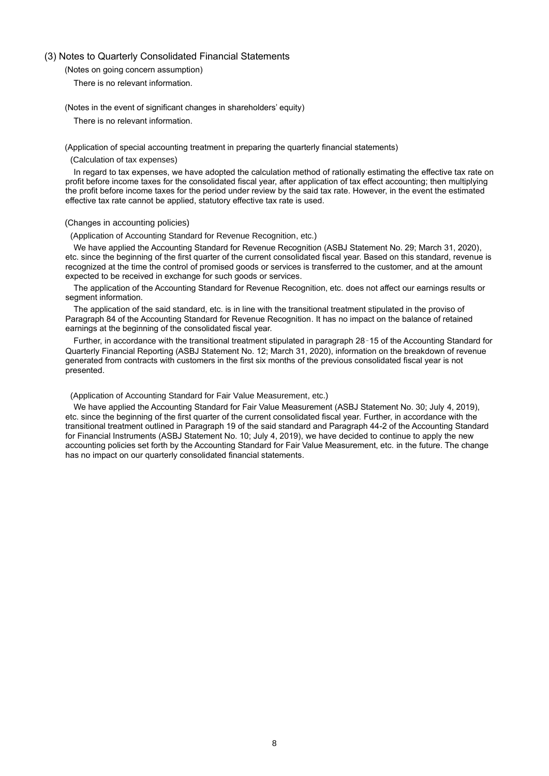#### <span id="page-9-1"></span><span id="page-9-0"></span>(3) Notes to Quarterly Consolidated Financial Statements

(Notes on going concern assumption)

There is no relevant information.

<span id="page-9-2"></span>(Notes in the event of significant changes in shareholders' equity)

There is no relevant information.

<span id="page-9-3"></span>(Application of special accounting treatment in preparing the quarterly financial statements)

(Calculation of tax expenses)

In regard to tax expenses, we have adopted the calculation method of rationally estimating the effective tax rate on profit before income taxes for the consolidated fiscal year, after application of tax effect accounting; then multiplying the profit before income taxes for the period under review by the said tax rate. However, in the event the estimated effective tax rate cannot be applied, statutory effective tax rate is used.

#### <span id="page-9-4"></span>(Changes in accounting policies)

(Application of Accounting Standard for Revenue Recognition, etc.)

We have applied the Accounting Standard for Revenue Recognition (ASBJ Statement No. 29; March 31, 2020), etc. since the beginning of the first quarter of the current consolidated fiscal year. Based on this standard, revenue is recognized at the time the control of promised goods or services is transferred to the customer, and at the amount expected to be received in exchange for such goods or services.

The application of the Accounting Standard for Revenue Recognition, etc. does not affect our earnings results or segment information.

The application of the said standard, etc. is in line with the transitional treatment stipulated in the proviso of Paragraph 84 of the Accounting Standard for Revenue Recognition. It has no impact on the balance of retained earnings at the beginning of the consolidated fiscal year.

Further, in accordance with the transitional treatment stipulated in paragraph 28–15 of the Accounting Standard for Quarterly Financial Reporting (ASBJ Statement No. 12; March 31, 2020), information on the breakdown of revenue generated from contracts with customers in the first six months of the previous consolidated fiscal year is not presented.

#### (Application of Accounting Standard for Fair Value Measurement, etc.)

We have applied the Accounting Standard for Fair Value Measurement (ASBJ Statement No. 30; July 4, 2019), etc. since the beginning of the first quarter of the current consolidated fiscal year. Further, in accordance with the transitional treatment outlined in Paragraph 19 of the said standard and Paragraph 44-2 of the Accounting Standard for Financial Instruments (ASBJ Statement No. 10; July 4, 2019), we have decided to continue to apply the new accounting policies set forth by the Accounting Standard for Fair Value Measurement, etc. in the future. The change has no impact on our quarterly consolidated financial statements.